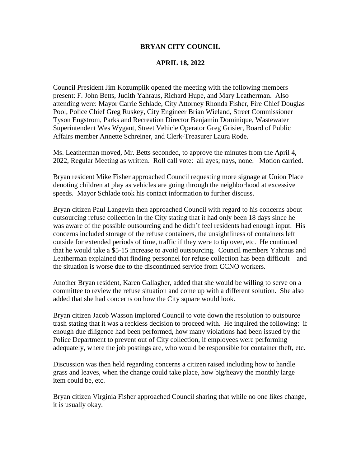#### **BRYAN CITY COUNCIL**

#### **APRIL 18, 2022**

Council President Jim Kozumplik opened the meeting with the following members present: F. John Betts, Judith Yahraus, Richard Hupe, and Mary Leatherman. Also attending were: Mayor Carrie Schlade, City Attorney Rhonda Fisher, Fire Chief Douglas Pool, Police Chief Greg Ruskey, City Engineer Brian Wieland, Street Commissioner Tyson Engstrom, Parks and Recreation Director Benjamin Dominique, Wastewater Superintendent Wes Wygant, Street Vehicle Operator Greg Grisier, Board of Public Affairs member Annette Schreiner, and Clerk-Treasurer Laura Rode.

Ms. Leatherman moved, Mr. Betts seconded, to approve the minutes from the April 4, 2022, Regular Meeting as written. Roll call vote: all ayes; nays, none. Motion carried.

Bryan resident Mike Fisher approached Council requesting more signage at Union Place denoting children at play as vehicles are going through the neighborhood at excessive speeds. Mayor Schlade took his contact information to further discuss.

Bryan citizen Paul Langevin then approached Council with regard to his concerns about outsourcing refuse collection in the City stating that it had only been 18 days since he was aware of the possible outsourcing and he didn't feel residents had enough input. His concerns included storage of the refuse containers, the unsightliness of containers left outside for extended periods of time, traffic if they were to tip over, etc. He continued that he would take a \$5-15 increase to avoid outsourcing. Council members Yahraus and Leatherman explained that finding personnel for refuse collection has been difficult – and the situation is worse due to the discontinued service from CCNO workers.

Another Bryan resident, Karen Gallagher, added that she would be willing to serve on a committee to review the refuse situation and come up with a different solution. She also added that she had concerns on how the City square would look.

Bryan citizen Jacob Wasson implored Council to vote down the resolution to outsource trash stating that it was a reckless decision to proceed with. He inquired the following: if enough due diligence had been performed, how many violations had been issued by the Police Department to prevent out of City collection, if employees were performing adequately, where the job postings are, who would be responsible for container theft, etc.

Discussion was then held regarding concerns a citizen raised including how to handle grass and leaves, when the change could take place, how big/heavy the monthly large item could be, etc.

Bryan citizen Virginia Fisher approached Council sharing that while no one likes change, it is usually okay.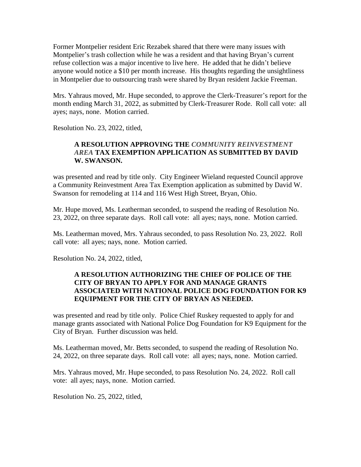Former Montpelier resident Eric Rezabek shared that there were many issues with Montpelier's trash collection while he was a resident and that having Bryan's current refuse collection was a major incentive to live here. He added that he didn't believe anyone would notice a \$10 per month increase. His thoughts regarding the unsightliness in Montpelier due to outsourcing trash were shared by Bryan resident Jackie Freeman.

Mrs. Yahraus moved, Mr. Hupe seconded, to approve the Clerk-Treasurer's report for the month ending March 31, 2022, as submitted by Clerk-Treasurer Rode. Roll call vote: all ayes; nays, none. Motion carried.

Resolution No. 23, 2022, titled,

## **A RESOLUTION APPROVING THE** *COMMUNITY REINVESTMENT AREA* **TAX EXEMPTION APPLICATION AS SUBMITTED BY DAVID W. SWANSON.**

was presented and read by title only. City Engineer Wieland requested Council approve a Community Reinvestment Area Tax Exemption application as submitted by David W. Swanson for remodeling at 114 and 116 West High Street, Bryan, Ohio.

Mr. Hupe moved, Ms. Leatherman seconded, to suspend the reading of Resolution No. 23, 2022, on three separate days. Roll call vote: all ayes; nays, none. Motion carried.

Ms. Leatherman moved, Mrs. Yahraus seconded, to pass Resolution No. 23, 2022. Roll call vote: all ayes; nays, none. Motion carried.

Resolution No. 24, 2022, titled,

#### **A RESOLUTION AUTHORIZING THE CHIEF OF POLICE OF THE CITY OF BRYAN TO APPLY FOR AND MANAGE GRANTS ASSOCIATED WITH NATIONAL POLICE DOG FOUNDATION FOR K9 EQUIPMENT FOR THE CITY OF BRYAN AS NEEDED.**

was presented and read by title only. Police Chief Ruskey requested to apply for and manage grants associated with National Police Dog Foundation for K9 Equipment for the City of Bryan. Further discussion was held.

Ms. Leatherman moved, Mr. Betts seconded, to suspend the reading of Resolution No. 24, 2022, on three separate days. Roll call vote: all ayes; nays, none. Motion carried.

Mrs. Yahraus moved, Mr. Hupe seconded, to pass Resolution No. 24, 2022. Roll call vote: all ayes; nays, none. Motion carried.

Resolution No. 25, 2022, titled,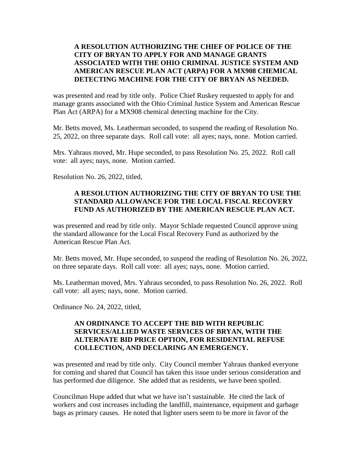## **A RESOLUTION AUTHORIZING THE CHIEF OF POLICE OF THE CITY OF BRYAN TO APPLY FOR AND MANAGE GRANTS ASSOCIATED WITH THE OHIO CRIMINAL JUSTICE SYSTEM AND AMERICAN RESCUE PLAN ACT (ARPA) FOR A MX908 CHEMICAL DETECTING MACHINE FOR THE CITY OF BRYAN AS NEEDED.**

was presented and read by title only. Police Chief Ruskey requested to apply for and manage grants associated with the Ohio Criminal Justice System and American Rescue Plan Act (ARPA) for a MX908 chemical detecting machine for the City.

Mr. Betts moved, Ms. Leatherman seconded, to suspend the reading of Resolution No. 25, 2022, on three separate days. Roll call vote: all ayes; nays, none. Motion carried.

Mrs. Yahraus moved, Mr. Hupe seconded, to pass Resolution No. 25, 2022. Roll call vote: all ayes; nays, none. Motion carried.

Resolution No. 26, 2022, titled,

# **A RESOLUTION AUTHORIZING THE CITY OF BRYAN TO USE THE STANDARD ALLOWANCE FOR THE LOCAL FISCAL RECOVERY FUND AS AUTHORIZED BY THE AMERICAN RESCUE PLAN ACT.**

was presented and read by title only. Mayor Schlade requested Council approve using the standard allowance for the Local Fiscal Recovery Fund as authorized by the American Rescue Plan Act.

Mr. Betts moved, Mr. Hupe seconded, to suspend the reading of Resolution No. 26, 2022, on three separate days. Roll call vote: all ayes; nays, none. Motion carried.

Ms. Leatherman moved, Mrs. Yahraus seconded, to pass Resolution No. 26, 2022. Roll call vote: all ayes; nays, none. Motion carried.

Ordinance No. 24, 2022, titled,

## **AN ORDINANCE TO ACCEPT THE BID WITH REPUBLIC SERVICES/ALLIED WASTE SERVICES OF BRYAN, WITH THE ALTERNATE BID PRICE OPTION, FOR RESIDENTIAL REFUSE COLLECTION, AND DECLARING AN EMERGENCY.**

was presented and read by title only. City Council member Yahraus thanked everyone for coming and shared that Council has taken this issue under serious consideration and has performed due diligence. She added that as residents, we have been spoiled.

Councilman Hupe added that what we have isn't sustainable. He cited the lack of workers and cost increases including the landfill, maintenance, equipment and garbage bags as primary causes. He noted that lighter users seem to be more in favor of the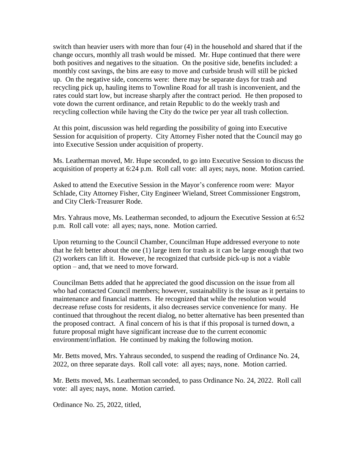switch than heavier users with more than four (4) in the household and shared that if the change occurs, monthly all trash would be missed. Mr. Hupe continued that there were both positives and negatives to the situation. On the positive side, benefits included: a monthly cost savings, the bins are easy to move and curbside brush will still be picked up. On the negative side, concerns were: there may be separate days for trash and recycling pick up, hauling items to Townline Road for all trash is inconvenient, and the rates could start low, but increase sharply after the contract period. He then proposed to vote down the current ordinance, and retain Republic to do the weekly trash and recycling collection while having the City do the twice per year all trash collection.

At this point, discussion was held regarding the possibility of going into Executive Session for acquisition of property. City Attorney Fisher noted that the Council may go into Executive Session under acquisition of property.

Ms. Leatherman moved, Mr. Hupe seconded, to go into Executive Session to discuss the acquisition of property at 6:24 p.m. Roll call vote: all ayes; nays, none. Motion carried.

Asked to attend the Executive Session in the Mayor's conference room were: Mayor Schlade, City Attorney Fisher, City Engineer Wieland, Street Commissioner Engstrom, and City Clerk-Treasurer Rode.

Mrs. Yahraus move, Ms. Leatherman seconded, to adjourn the Executive Session at 6:52 p.m. Roll call vote: all ayes; nays, none. Motion carried.

Upon returning to the Council Chamber, Councilman Hupe addressed everyone to note that he felt better about the one (1) large item for trash as it can be large enough that two (2) workers can lift it. However, he recognized that curbside pick-up is not a viable option – and, that we need to move forward.

Councilman Betts added that he appreciated the good discussion on the issue from all who had contacted Council members; however, sustainability is the issue as it pertains to maintenance and financial matters. He recognized that while the resolution would decrease refuse costs for residents, it also decreases service convenience for many. He continued that throughout the recent dialog, no better alternative has been presented than the proposed contract. A final concern of his is that if this proposal is turned down, a future proposal might have significant increase due to the current economic environment/inflation. He continued by making the following motion.

Mr. Betts moved, Mrs. Yahraus seconded, to suspend the reading of Ordinance No. 24, 2022, on three separate days. Roll call vote: all ayes; nays, none. Motion carried.

Mr. Betts moved, Ms. Leatherman seconded, to pass Ordinance No. 24, 2022. Roll call vote: all ayes; nays, none. Motion carried.

Ordinance No. 25, 2022, titled,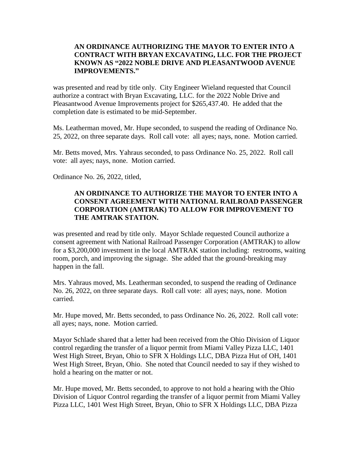### **AN ORDINANCE AUTHORIZING THE MAYOR TO ENTER INTO A CONTRACT WITH BRYAN EXCAVATING, LLC. FOR THE PROJECT KNOWN AS "2022 NOBLE DRIVE AND PLEASANTWOOD AVENUE IMPROVEMENTS."**

was presented and read by title only. City Engineer Wieland requested that Council authorize a contract with Bryan Excavating, LLC. for the 2022 Noble Drive and Pleasantwood Avenue Improvements project for \$265,437.40. He added that the completion date is estimated to be mid-September.

Ms. Leatherman moved, Mr. Hupe seconded, to suspend the reading of Ordinance No. 25, 2022, on three separate days. Roll call vote: all ayes; nays, none. Motion carried.

Mr. Betts moved, Mrs. Yahraus seconded, to pass Ordinance No. 25, 2022. Roll call vote: all ayes; nays, none. Motion carried.

Ordinance No. 26, 2022, titled,

# **AN ORDINANCE TO AUTHORIZE THE MAYOR TO ENTER INTO A CONSENT AGREEMENT WITH NATIONAL RAILROAD PASSENGER CORPORATION (AMTRAK) TO ALLOW FOR IMPROVEMENT TO THE AMTRAK STATION.**

was presented and read by title only. Mayor Schlade requested Council authorize a consent agreement with National Railroad Passenger Corporation (AMTRAK) to allow for a \$3,200,000 investment in the local AMTRAK station including: restrooms, waiting room, porch, and improving the signage. She added that the ground-breaking may happen in the fall.

Mrs. Yahraus moved, Ms. Leatherman seconded, to suspend the reading of Ordinance No. 26, 2022, on three separate days. Roll call vote: all ayes; nays, none. Motion carried.

Mr. Hupe moved, Mr. Betts seconded, to pass Ordinance No. 26, 2022. Roll call vote: all ayes; nays, none. Motion carried.

Mayor Schlade shared that a letter had been received from the Ohio Division of Liquor control regarding the transfer of a liquor permit from Miami Valley Pizza LLC, 1401 West High Street, Bryan, Ohio to SFR X Holdings LLC, DBA Pizza Hut of OH, 1401 West High Street, Bryan, Ohio. She noted that Council needed to say if they wished to hold a hearing on the matter or not.

Mr. Hupe moved, Mr. Betts seconded, to approve to not hold a hearing with the Ohio Division of Liquor Control regarding the transfer of a liquor permit from Miami Valley Pizza LLC, 1401 West High Street, Bryan, Ohio to SFR X Holdings LLC, DBA Pizza